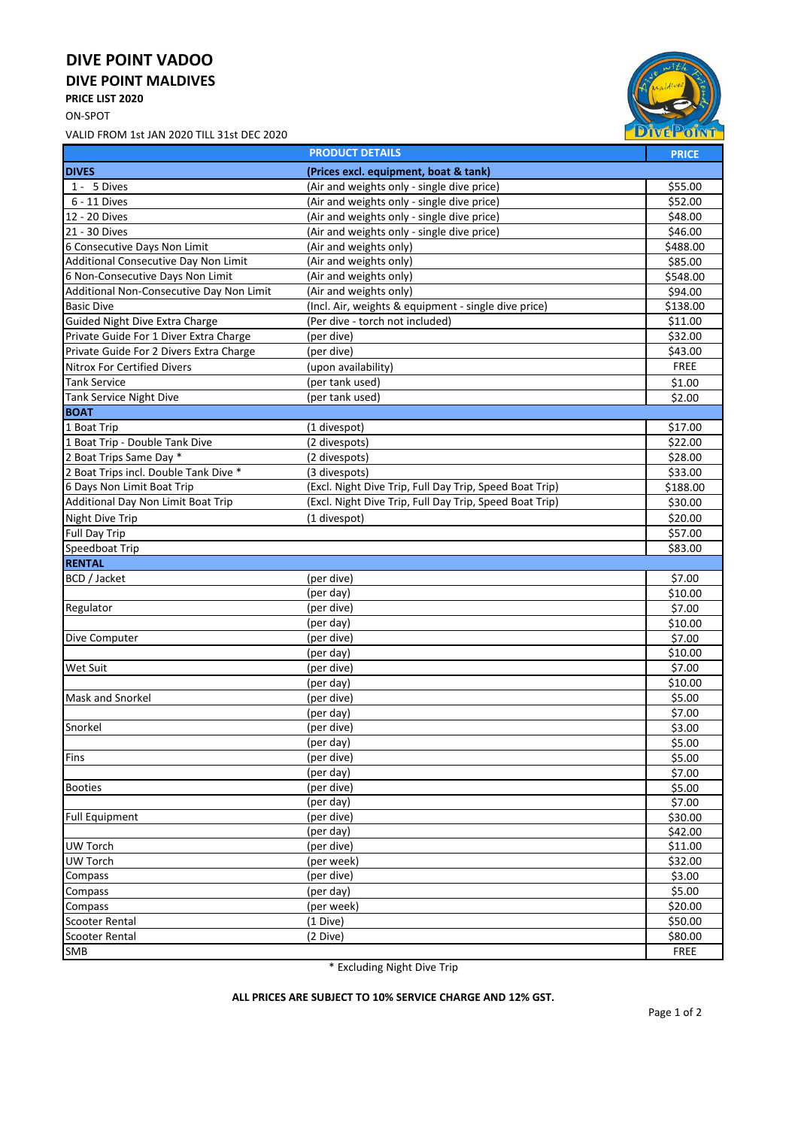## **DIVE POINT VADOO**

**DIVE POINT MALDIVES**

**PRICE LIST 2020**

ON-SPOT

VALID FROM 1st JAN 2020 TILL 31st DEC 2020



|                                          | <b>PRODUCT DETAILS</b>                                  | <b>PRICE</b>        |
|------------------------------------------|---------------------------------------------------------|---------------------|
| <b>DIVES</b>                             | (Prices excl. equipment, boat & tank)                   |                     |
| $1 - 5$ Dives                            | (Air and weights only - single dive price)              | \$55.00             |
| 6 - 11 Dives                             | (Air and weights only - single dive price)              | \$52.00             |
| 12 - 20 Dives                            | (Air and weights only - single dive price)              | \$48.00             |
| 21 - 30 Dives                            | (Air and weights only - single dive price)              | \$46.00             |
| 6 Consecutive Days Non Limit             | (Air and weights only)                                  | \$488.00            |
| Additional Consecutive Day Non Limit     | (Air and weights only)                                  | \$85.00             |
| 6 Non-Consecutive Days Non Limit         | (Air and weights only)                                  | \$548.00            |
| Additional Non-Consecutive Day Non Limit | (Air and weights only)                                  | \$94.00             |
| <b>Basic Dive</b>                        | (Incl. Air, weights & equipment - single dive price)    | \$138.00            |
| Guided Night Dive Extra Charge           | (Per dive - torch not included)                         | \$11.00             |
| Private Guide For 1 Diver Extra Charge   | (per dive)                                              | \$32.00             |
| Private Guide For 2 Divers Extra Charge  | (per dive)                                              | \$43.00             |
| <b>Nitrox For Certified Divers</b>       | (upon availability)                                     | <b>FREE</b>         |
| <b>Tank Service</b>                      | (per tank used)                                         | \$1.00              |
| Tank Service Night Dive                  | (per tank used)                                         | \$2.00              |
| <b>BOAT</b>                              |                                                         |                     |
| 1 Boat Trip                              | (1 divespot)                                            | \$17.00             |
| 1 Boat Trip - Double Tank Dive           | (2 divespots)                                           | $\overline{$}22.00$ |
| 2 Boat Trips Same Day *                  | (2 divespots)                                           | \$28.00             |
| 2 Boat Trips incl. Double Tank Dive *    | (3 divespots)                                           | \$33.00             |
| 6 Days Non Limit Boat Trip               | (Excl. Night Dive Trip, Full Day Trip, Speed Boat Trip) | \$188.00            |
| Additional Day Non Limit Boat Trip       | (Excl. Night Dive Trip, Full Day Trip, Speed Boat Trip) | \$30.00             |
| <b>Night Dive Trip</b>                   | (1 divespot)                                            | \$20.00             |
| <b>Full Day Trip</b>                     |                                                         | \$57.00             |
| Speedboat Trip                           |                                                         | \$83.00             |
| <b>RENTAL</b>                            |                                                         |                     |
| BCD / Jacket                             | (per dive)                                              | \$7.00              |
|                                          | (per day)                                               | \$10.00             |
| Regulator                                | (per dive)                                              | \$7.00              |
|                                          | (per day)                                               | \$10.00             |
| Dive Computer                            | (per dive)                                              | \$7.00              |
|                                          | (per day)                                               | \$10.00             |
| Wet Suit                                 | (per dive)                                              | \$7.00              |
|                                          | (per day)                                               | \$10.00             |
| Mask and Snorkel                         | (per dive)                                              | \$5.00              |
|                                          | (per day)                                               | \$7.00              |
| Snorkel                                  | (per dive)                                              | \$3.00              |
|                                          | (per day)                                               | \$5.00              |
| Fins                                     | (per dive)                                              | \$5.00              |
|                                          | (per day)                                               | \$7.00              |
| <b>Booties</b>                           | (per dive)                                              | \$5.00              |
|                                          | (per day)                                               | \$7.00              |
| <b>Full Equipment</b>                    | (per dive)                                              | \$30.00             |
|                                          | (per day)                                               | \$42.00             |
| <b>UW Torch</b>                          | (per dive)                                              | \$11.00             |
| <b>UW Torch</b>                          | (per week)                                              | \$32.00             |
| Compass                                  | (per dive)                                              | \$3.00              |
| Compass                                  | (per day)                                               | \$5.00              |
| Compass                                  | (per week)                                              | \$20.00             |
| <b>Scooter Rental</b>                    | $(1$ Dive)                                              | \$50.00             |
| <b>Scooter Rental</b>                    | (2 Dive)                                                | \$80.00             |
| SMB                                      |                                                         | FREE                |

\* Excluding Night Dive Trip

## **ALL PRICES ARE SUBJECT TO 10% SERVICE CHARGE AND 12% GST.**